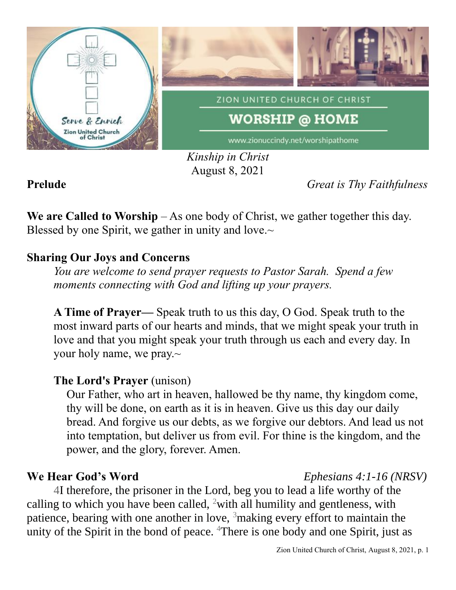

*Kinship in Christ* August 8, 2021

**Prelude** *Great is Thy Faithfulness*

**We are Called to Worship** – As one body of Christ, we gather together this day. Blessed by one Spirit, we gather in unity and love. $\sim$ 

# **Sharing Our Joys and Concerns**

*You are welcome to send prayer requests to Pastor Sarah. Spend a few moments connecting with God and lifting up your prayers.*

**A Time of Prayer—** Speak truth to us this day, O God. Speak truth to the most inward parts of our hearts and minds, that we might speak your truth in love and that you might speak your truth through us each and every day. In your holy name, we pray.~

# **The Lord's Prayer** (unison)

Our Father, who art in heaven, hallowed be thy name, thy kingdom come, thy will be done, on earth as it is in heaven. Give us this day our daily bread. And forgive us our debts, as we forgive our debtors. And lead us not into temptation, but deliver us from evil. For thine is the kingdom, and the power, and the glory, forever. Amen.

### **We Hear God's Word** *Ephesians 4:1-16 (NRSV)*

4I therefore, the prisoner in the Lord, beg you to lead a life worthy of the calling to which you have been called, <sup>2</sup>with all humility and gentleness, with patience, bearing with one another in love,  $3$  making every effort to maintain the unity of the Spirit in the bond of peace. <sup>4</sup>There is one body and one Spirit, just as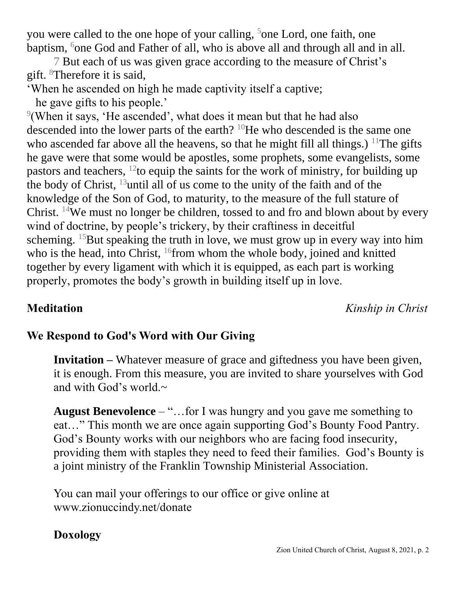you were called to the one hope of your calling, <sup>5</sup>one Lord, one faith, one baptism, <sup>6</sup>one God and Father of all, who is above all and through all and in all.

7 But each of us was given grace according to the measure of Christ's gift. <sup>8</sup>Therefore it is said,

'When he ascended on high he made captivity itself a captive;

he gave gifts to his people.'

 $9$ (When it says, 'He ascended', what does it mean but that he had also descended into the lower parts of the earth? <sup>10</sup>He who descended is the same one who ascended far above all the heavens, so that he might fill all things.) <sup>11</sup>The gifts he gave were that some would be apostles, some prophets, some evangelists, some pastors and teachers,  $^{12}$  to equip the saints for the work of ministry, for building up the body of Christ,  $^{13}$ until all of us come to the unity of the faith and of the knowledge of the Son of God, to maturity, to the measure of the full stature of Christ. <sup>14</sup>We must no longer be children, tossed to and fro and blown about by every wind of doctrine, by people's trickery, by their craftiness in deceitful scheming. <sup>15</sup>But speaking the truth in love, we must grow up in every way into him who is the head, into Christ, <sup>16</sup>from whom the whole body, joined and knitted together by every ligament with which it is equipped, as each part is working properly, promotes the body's growth in building itself up in love.

**Meditation** *Kinship in Christ*

# **We Respond to God's Word with Our Giving**

**Invitation –** Whatever measure of grace and giftedness you have been given, it is enough. From this measure, you are invited to share yourselves with God and with God's world. $\sim$ 

**August Benevolence** – "…for I was hungry and you gave me something to eat…" This month we are once again supporting God's Bounty Food Pantry. God's Bounty works with our neighbors who are facing food insecurity, providing them with staples they need to feed their families. God's Bounty is a joint ministry of the Franklin Township Ministerial Association.

You can mail your offerings to our office or give online at www.zionuccindy.net/donate

# **Doxology**